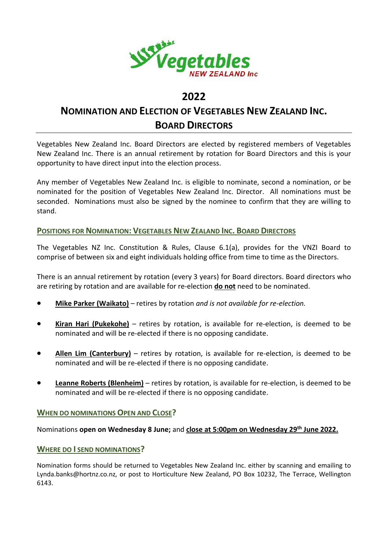

# **2022**

# **NOMINATION AND ELECTION OF VEGETABLES NEW ZEALAND INC. BOARD DIRECTORS**

Vegetables New Zealand Inc. Board Directors are elected by registered members of Vegetables New Zealand Inc. There is an annual retirement by rotation for Board Directors and this is your opportunity to have direct input into the election process.

Any member of Vegetables New Zealand Inc. is eligible to nominate, second a nomination, or be nominated for the position of Vegetables New Zealand Inc. Director. All nominations must be seconded. Nominations must also be signed by the nominee to confirm that they are willing to stand.

# **POSITIONS FOR NOMINATION: VEGETABLES NEW ZEALAND INC. BOARD DIRECTORS**

The Vegetables NZ Inc. Constitution & Rules, Clause 6.1(a), provides for the VNZI Board to comprise of between six and eight individuals holding office from time to time as the Directors.

There is an annual retirement by rotation (every 3 years) for Board directors. Board directors who are retiring by rotation and are available for re-election **do not** need to be nominated.

- **Mike Parker (Waikato)** retires by rotation *and is not available for re-election.*
- **Kiran Hari (Pukekohe)** retires by rotation, is available for re-election, is deemed to be nominated and will be re-elected if there is no opposing candidate.
- **Allen Lim (Canterbury)** retires by rotation, is available for re-election, is deemed to be nominated and will be re-elected if there is no opposing candidate.
- **Leanne Roberts (Blenheim)** retires by rotation, is available for re-election, is deemed to be nominated and will be re-elected if there is no opposing candidate.

## **WHEN DO NOMINATIONS OPEN AND CLOSE?**

## Nominations **open on Wednesday 8 June;** and **close at 5:00pm on Wednesday 29th June 2022.**

## **WHERE DO I SEND NOMINATIONS?**

Nomination forms should be returned to Vegetables New Zealand Inc. either by scanning and emailing to Lynda.banks@hortnz.co.nz, or post to Horticulture New Zealand, PO Box 10232, The Terrace, Wellington 6143.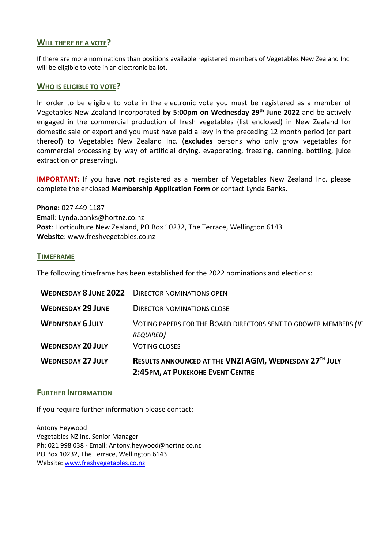## **WILL THERE BE A VOTE?**

If there are more nominations than positions available registered members of Vegetables New Zealand Inc. will be eligible to vote in an electronic ballot.

### **WHO IS ELIGIBLE TO VOTE?**

In order to be eligible to vote in the electronic vote you must be registered as a member of Vegetables New Zealand Incorporated **by 5:00pm on Wednesday 29th June 2022** and be actively engaged in the commercial production of fresh vegetables (list enclosed) in New Zealand for domestic sale or export and you must have paid a levy in the preceding 12 month period (or part thereof) to Vegetables New Zealand Inc. (**excludes** persons who only grow vegetables for commercial processing by way of artificial drying, evaporating, freezing, canning, bottling, juice extraction or preserving).

**IMPORTANT:** If you have **not** registered as a member of Vegetables New Zealand Inc. please complete the enclosed **Membership Application Form** or contact Lynda Banks.

**Phone:** 027 449 1187 **Emai**l: Lynda.banks@hortnz.co.nz **Post**: Horticulture New Zealand, PO Box 10232, The Terrace, Wellington 6143 **Website**: www.freshvegetables.co.nz

### **TIMEFRAME**

The following timeframe has been established for the 2022 nominations and elections:

|                              | 2:45PM, AT PUKEKOHE EVENT CENTRE                                 |
|------------------------------|------------------------------------------------------------------|
| <b>WEDNESDAY 27 JULY</b>     | RESULTS ANNOUNCED AT THE VNZI AGM, WEDNESDAY 27TH JULY           |
| <b>WEDNESDAY 20 JULY</b>     | <b>VOTING CLOSES</b>                                             |
|                              | REQUIRED)                                                        |
| <b>WEDNESDAY 6 JULY</b>      | VOTING PAPERS FOR THE BOARD DIRECTORS SENT TO GROWER MEMBERS (IF |
| <b>WEDNESDAY 29 JUNE</b>     | <b>DIRECTOR NOMINATIONS CLOSE</b>                                |
| <b>WEDNESDAY 8 JUNE 2022</b> | <b>DIRECTOR NOMINATIONS OPEN</b>                                 |

#### **FURTHER INFORMATION**

If you require further information please contact:

Antony Heywood Vegetables NZ Inc. Senior Manager Ph: 021 998 038 - Email: Antony.heywood@hortnz.co.nz PO Box 10232, The Terrace, Wellington 6143 Website: [www.freshvegetables.co.nz](http://www.freshvegetables.co.nz/)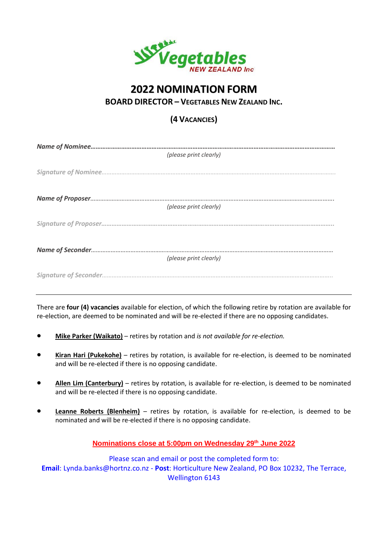

# **2022 NOMINATION FORM**

**BOARD DIRECTOR – VEGETABLES NEW ZEALAND INC.**

# **(4 VACANCIES)**

| (please print clearly) |
|------------------------|
|                        |
|                        |
|                        |
|                        |
|                        |
| (please print clearly) |
|                        |
|                        |
|                        |
|                        |
| (please print clearly) |
|                        |
|                        |
|                        |
|                        |

There are **four (4) vacancies** available for election, of which the following retire by rotation are available for re-election, are deemed to be nominated and will be re-elected if there are no opposing candidates.

- **Mike Parker (Waikato)** retires by rotation and *is not available for re-election.*
- **Kiran Hari (Pukekohe)** retires by rotation, is available for re-election, is deemed to be nominated and will be re-elected if there is no opposing candidate.
- **Allen Lim (Canterbury)** retires by rotation, is available for re-election, is deemed to be nominated and will be re-elected if there is no opposing candidate.
- **Leanne Roberts (Blenheim)** retires by rotation, is available for re-election, is deemed to be nominated and will be re-elected if there is no opposing candidate.

**Nominations close at 5:00pm on Wednesday 29 th June 2022**

Please scan and email or post the completed form to: **Email**: [Lynda.banks@hortnz.co.nz](mailto:) - **Post**: Horticulture New Zealand, PO Box 10232, The Terrace, Wellington 6143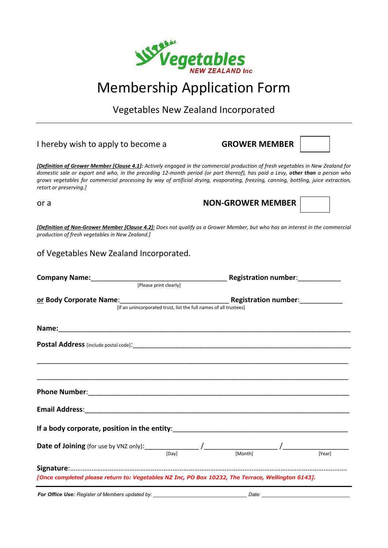

Vegetables New Zealand Incorporated

| I hereby wish to apply to become a                                                                | <b>GROWER MEMBER</b>                                                                                                                                                                                                                                                                                                                                                                                    |
|---------------------------------------------------------------------------------------------------|---------------------------------------------------------------------------------------------------------------------------------------------------------------------------------------------------------------------------------------------------------------------------------------------------------------------------------------------------------------------------------------------------------|
| retort or preserving.]                                                                            | [Definition of Grower Member [Clause 4.1]: Actively engaged in the commercial production of fresh vegetables in New Zealand for<br>domestic sale or export and who, in the preceding 12-month period (or part thereof), has paid a Levy, other than a person who<br>grows vegetables for commercial processing by way of artificial drying, evaporating, freezing, canning, bottling, juice extraction, |
| or a                                                                                              | <b>NON-GROWER MEMBER</b>                                                                                                                                                                                                                                                                                                                                                                                |
| production of fresh vegetables in New Zealand.]                                                   | [Definition of Non-Grower Member [Clause 4.2]: Does not qualify as a Grower Member, but who has an interest in the commercial                                                                                                                                                                                                                                                                           |
| of Vegetables New Zealand Incorporated.                                                           |                                                                                                                                                                                                                                                                                                                                                                                                         |
|                                                                                                   | Company Name: <u>Company Name:</u> Elease print clearly] Registration number:                                                                                                                                                                                                                                                                                                                           |
|                                                                                                   | <u>or</u> Body Corporate Name:<br>[If an unincorporated trust, list the full names of all trustees]<br>[If an unincorporated trust, list the full names of all trustees]                                                                                                                                                                                                                                |
|                                                                                                   |                                                                                                                                                                                                                                                                                                                                                                                                         |
|                                                                                                   |                                                                                                                                                                                                                                                                                                                                                                                                         |
|                                                                                                   |                                                                                                                                                                                                                                                                                                                                                                                                         |
|                                                                                                   |                                                                                                                                                                                                                                                                                                                                                                                                         |
| <b>Email Address:</b>                                                                             |                                                                                                                                                                                                                                                                                                                                                                                                         |
| If a body corporate, position in the entity:                                                      |                                                                                                                                                                                                                                                                                                                                                                                                         |
| <b>Date of Joining</b> (for use by VNZ only): $\frac{1}{2}$<br>$\overline{[Day]}$                 | [Month]<br>[Year]                                                                                                                                                                                                                                                                                                                                                                                       |
| [Once completed please return to: Vegetables NZ Inc, PO Box 10232, The Terrace, Wellington 6143]. |                                                                                                                                                                                                                                                                                                                                                                                                         |
| For Office Use: Register of Members updated by:                                                   | Date:                                                                                                                                                                                                                                                                                                                                                                                                   |